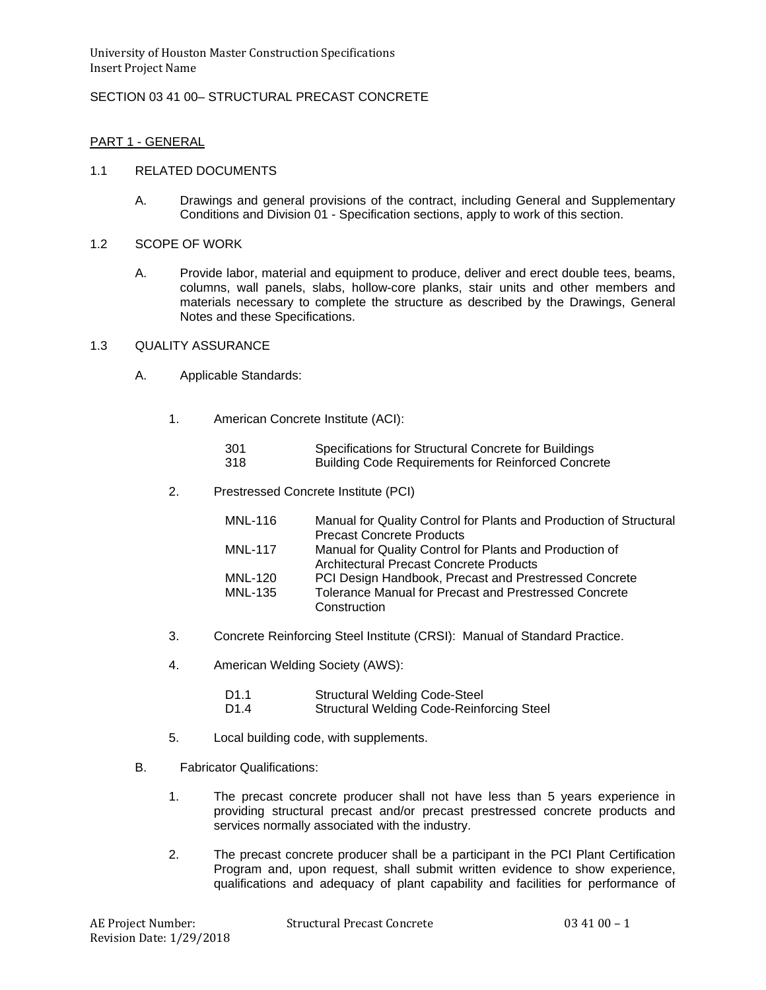# SECTION 03 41 00– STRUCTURAL PRECAST CONCRETE

## PART 1 - GENERAL

### 1.1 RELATED DOCUMENTS

- A. Drawings and general provisions of the contract, including General and Supplementary Conditions and Division 01 - Specification sections, apply to work of this section.
- 1.2 SCOPE OF WORK
	- A. Provide labor, material and equipment to produce, deliver and erect double tees, beams, columns, wall panels, slabs, hollow-core planks, stair units and other members and materials necessary to complete the structure as described by the Drawings, General Notes and these Specifications.

# 1.3 QUALITY ASSURANCE

- A. Applicable Standards:
	- 1. American Concrete Institute (ACI):

| -301 | Specifications for Structural Concrete for Buildings      |
|------|-----------------------------------------------------------|
| 318  | <b>Building Code Requirements for Reinforced Concrete</b> |

2. Prestressed Concrete Institute (PCI)

| MNL-116        | Manual for Quality Control for Plants and Production of Structural |
|----------------|--------------------------------------------------------------------|
|                | <b>Precast Concrete Products</b>                                   |
| <b>MNL-117</b> | Manual for Quality Control for Plants and Production of            |
|                | <b>Architectural Precast Concrete Products</b>                     |
| MNL-120        | PCI Design Handbook, Precast and Prestressed Concrete              |
| MNL-135        | <b>Tolerance Manual for Precast and Prestressed Concrete</b>       |
|                | Construction                                                       |

- 3. Concrete Reinforcing Steel Institute (CRSI): Manual of Standard Practice.
- 4. American Welding Society (AWS):

| D <sub>1.1</sub> | <b>Structural Welding Code-Steel</b>             |
|------------------|--------------------------------------------------|
| D <sub>1.4</sub> | <b>Structural Welding Code-Reinforcing Steel</b> |

- 5. Local building code, with supplements.
- B. Fabricator Qualifications:
	- 1. The precast concrete producer shall not have less than 5 years experience in providing structural precast and/or precast prestressed concrete products and services normally associated with the industry.
	- 2. The precast concrete producer shall be a participant in the PCI Plant Certification Program and, upon request, shall submit written evidence to show experience, qualifications and adequacy of plant capability and facilities for performance of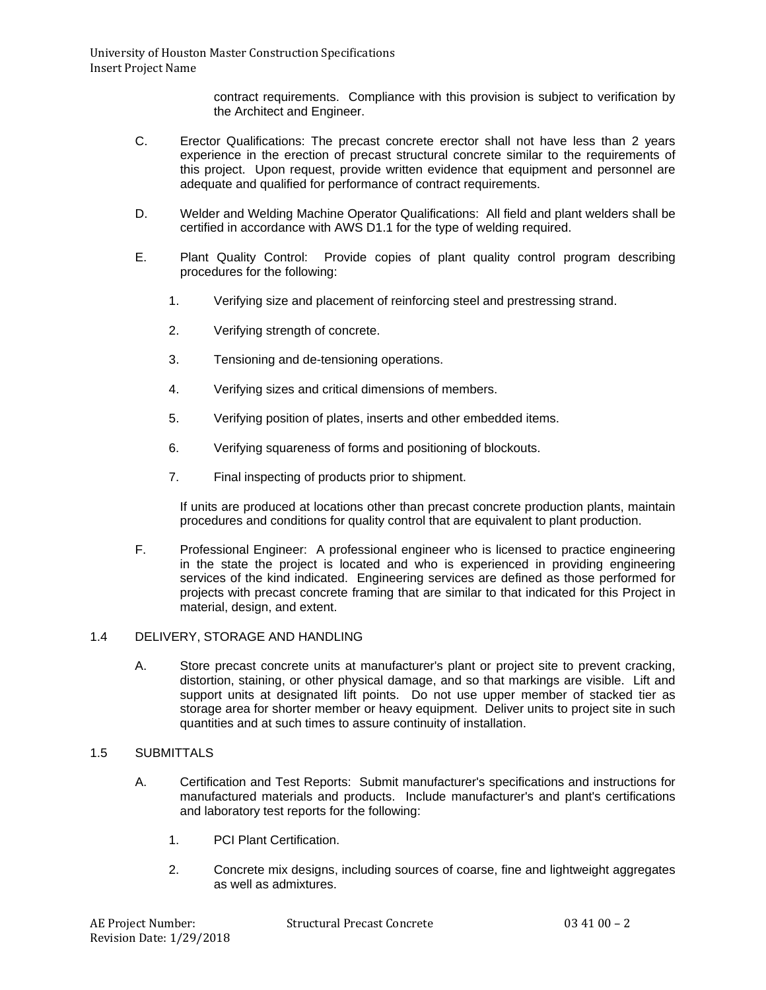contract requirements. Compliance with this provision is subject to verification by the Architect and Engineer.

- C. Erector Qualifications: The precast concrete erector shall not have less than 2 years experience in the erection of precast structural concrete similar to the requirements of this project. Upon request, provide written evidence that equipment and personnel are adequate and qualified for performance of contract requirements.
- D. Welder and Welding Machine Operator Qualifications: All field and plant welders shall be certified in accordance with AWS D1.1 for the type of welding required.
- E. Plant Quality Control: Provide copies of plant quality control program describing procedures for the following:
	- 1. Verifying size and placement of reinforcing steel and prestressing strand.
	- 2. Verifying strength of concrete.
	- 3. Tensioning and de-tensioning operations.
	- 4. Verifying sizes and critical dimensions of members.
	- 5. Verifying position of plates, inserts and other embedded items.
	- 6. Verifying squareness of forms and positioning of blockouts.
	- 7. Final inspecting of products prior to shipment.

If units are produced at locations other than precast concrete production plants, maintain procedures and conditions for quality control that are equivalent to plant production.

F. Professional Engineer: A professional engineer who is licensed to practice engineering in the state the project is located and who is experienced in providing engineering services of the kind indicated. Engineering services are defined as those performed for projects with precast concrete framing that are similar to that indicated for this Project in material, design, and extent.

### 1.4 DELIVERY, STORAGE AND HANDLING

A. Store precast concrete units at manufacturer's plant or project site to prevent cracking, distortion, staining, or other physical damage, and so that markings are visible. Lift and support units at designated lift points. Do not use upper member of stacked tier as storage area for shorter member or heavy equipment. Deliver units to project site in such quantities and at such times to assure continuity of installation.

### 1.5 SUBMITTALS

- A. Certification and Test Reports: Submit manufacturer's specifications and instructions for manufactured materials and products. Include manufacturer's and plant's certifications and laboratory test reports for the following:
	- 1. PCI Plant Certification.
	- 2. Concrete mix designs, including sources of coarse, fine and lightweight aggregates as well as admixtures.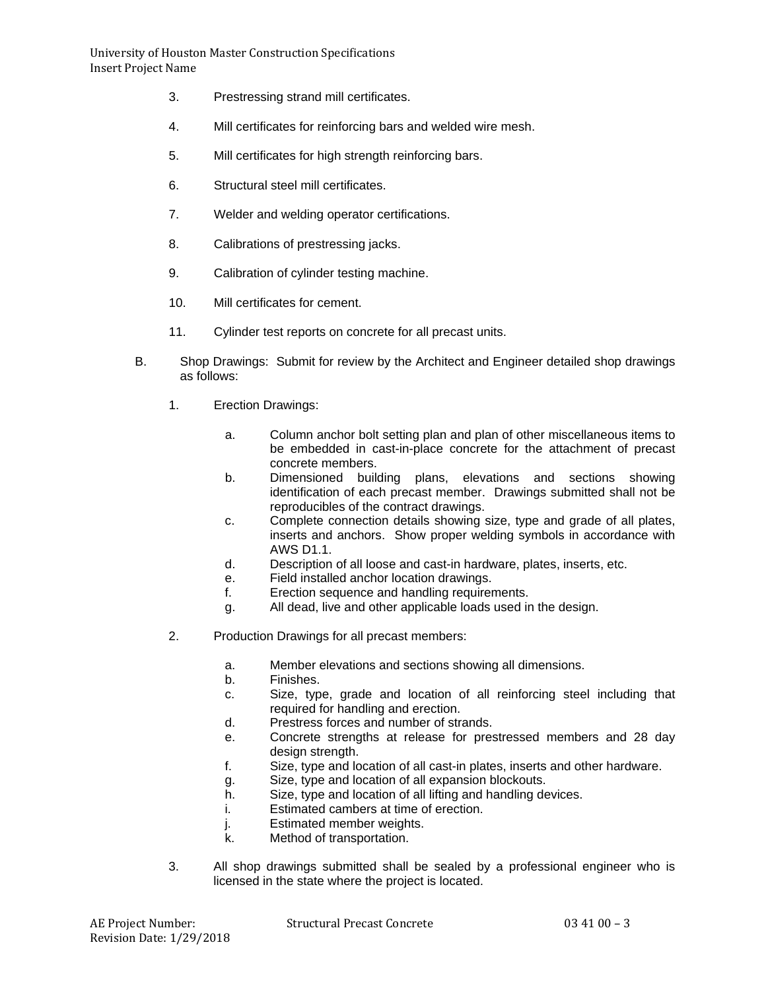- 3. Prestressing strand mill certificates.
- 4. Mill certificates for reinforcing bars and welded wire mesh.
- 5. Mill certificates for high strength reinforcing bars.
- 6. Structural steel mill certificates.
- 7. Welder and welding operator certifications.
- 8. Calibrations of prestressing jacks.
- 9. Calibration of cylinder testing machine.
- 10. Mill certificates for cement.
- 11. Cylinder test reports on concrete for all precast units.
- B. Shop Drawings: Submit for review by the Architect and Engineer detailed shop drawings as follows:
	- 1. Erection Drawings:
		- a. Column anchor bolt setting plan and plan of other miscellaneous items to be embedded in cast-in-place concrete for the attachment of precast concrete members.
		- b. Dimensioned building plans, elevations and sections showing identification of each precast member. Drawings submitted shall not be reproducibles of the contract drawings.
		- c. Complete connection details showing size, type and grade of all plates, inserts and anchors. Show proper welding symbols in accordance with AWS D1.1.
		- d. Description of all loose and cast-in hardware, plates, inserts, etc.
		- e. Field installed anchor location drawings.
		- f. Erection sequence and handling requirements.
		- g. All dead, live and other applicable loads used in the design.
	- 2. Production Drawings for all precast members:
		- a. Member elevations and sections showing all dimensions.
		- b. Finishes.
		- c. Size, type, grade and location of all reinforcing steel including that required for handling and erection.
		- d. Prestress forces and number of strands.
		- e. Concrete strengths at release for prestressed members and 28 day design strength.
		- f. Size, type and location of all cast-in plates, inserts and other hardware.
		- g. Size, type and location of all expansion blockouts.
		- h. Size, type and location of all lifting and handling devices.
		- i. Estimated cambers at time of erection.
		- j. Estimated member weights.<br>k. Method of transportation.
		- Method of transportation.
	- 3. All shop drawings submitted shall be sealed by a professional engineer who is licensed in the state where the project is located.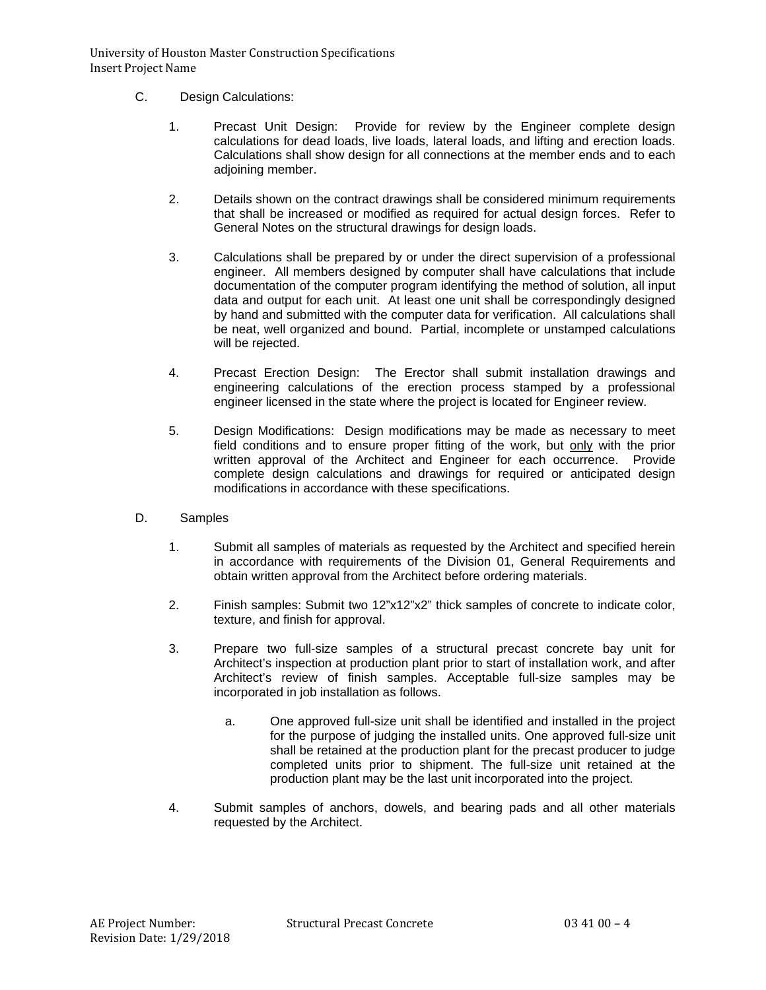- C. Design Calculations:
	- 1. Precast Unit Design: Provide for review by the Engineer complete design calculations for dead loads, live loads, lateral loads, and lifting and erection loads. Calculations shall show design for all connections at the member ends and to each adjoining member.
	- 2. Details shown on the contract drawings shall be considered minimum requirements that shall be increased or modified as required for actual design forces. Refer to General Notes on the structural drawings for design loads.
	- 3. Calculations shall be prepared by or under the direct supervision of a professional engineer. All members designed by computer shall have calculations that include documentation of the computer program identifying the method of solution, all input data and output for each unit. At least one unit shall be correspondingly designed by hand and submitted with the computer data for verification. All calculations shall be neat, well organized and bound. Partial, incomplete or unstamped calculations will be rejected.
	- 4. Precast Erection Design: The Erector shall submit installation drawings and engineering calculations of the erection process stamped by a professional engineer licensed in the state where the project is located for Engineer review.
	- 5. Design Modifications: Design modifications may be made as necessary to meet field conditions and to ensure proper fitting of the work, but only with the prior written approval of the Architect and Engineer for each occurrence. Provide complete design calculations and drawings for required or anticipated design modifications in accordance with these specifications.
- D. Samples
	- 1. Submit all samples of materials as requested by the Architect and specified herein in accordance with requirements of the Division 01, General Requirements and obtain written approval from the Architect before ordering materials.
	- 2. Finish samples: Submit two 12"x12"x2" thick samples of concrete to indicate color, texture, and finish for approval.
	- 3. Prepare two full-size samples of a structural precast concrete bay unit for Architect's inspection at production plant prior to start of installation work, and after Architect's review of finish samples. Acceptable full-size samples may be incorporated in job installation as follows.
		- a. One approved full-size unit shall be identified and installed in the project for the purpose of judging the installed units. One approved full-size unit shall be retained at the production plant for the precast producer to judge completed units prior to shipment. The full-size unit retained at the production plant may be the last unit incorporated into the project.
	- 4. Submit samples of anchors, dowels, and bearing pads and all other materials requested by the Architect.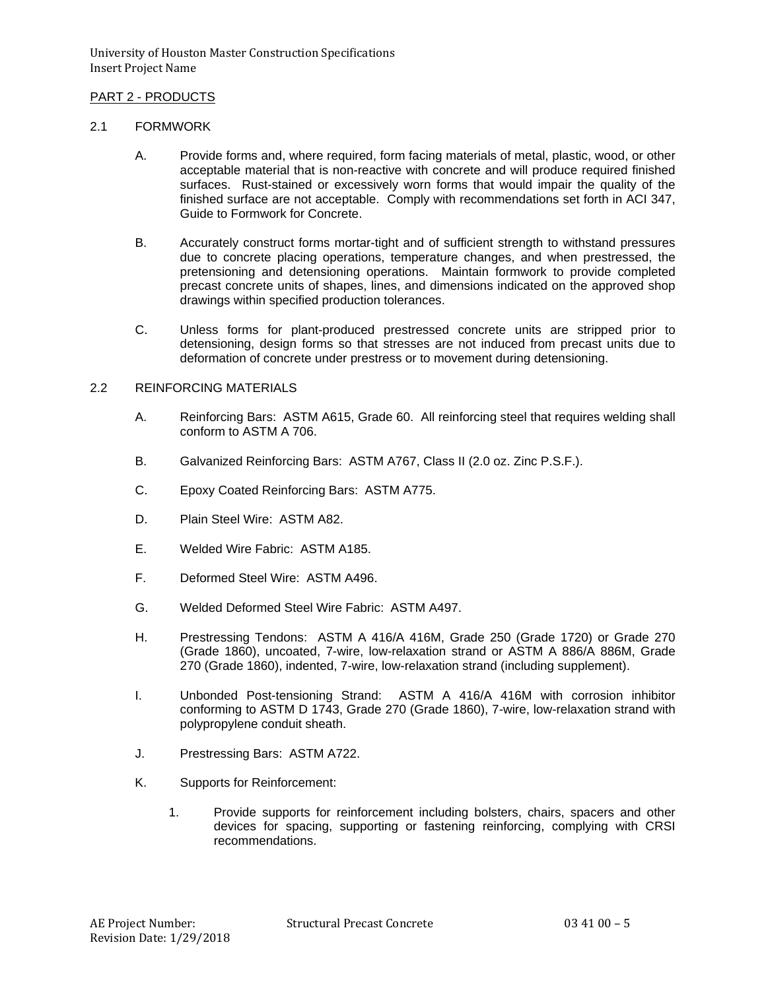# PART 2 - PRODUCTS

#### 2.1 FORMWORK

- A. Provide forms and, where required, form facing materials of metal, plastic, wood, or other acceptable material that is non-reactive with concrete and will produce required finished surfaces. Rust-stained or excessively worn forms that would impair the quality of the finished surface are not acceptable. Comply with recommendations set forth in ACI 347, Guide to Formwork for Concrete.
- B. Accurately construct forms mortar-tight and of sufficient strength to withstand pressures due to concrete placing operations, temperature changes, and when prestressed, the pretensioning and detensioning operations. Maintain formwork to provide completed precast concrete units of shapes, lines, and dimensions indicated on the approved shop drawings within specified production tolerances.
- C. Unless forms for plant-produced prestressed concrete units are stripped prior to detensioning, design forms so that stresses are not induced from precast units due to deformation of concrete under prestress or to movement during detensioning.

### 2.2 REINFORCING MATERIALS

- A. Reinforcing Bars: ASTM A615, Grade 60. All reinforcing steel that requires welding shall conform to ASTM A 706.
- B. Galvanized Reinforcing Bars: ASTM A767, Class II (2.0 oz. Zinc P.S.F.).
- C. Epoxy Coated Reinforcing Bars: ASTM A775.
- D. Plain Steel Wire: ASTM A82.
- E. Welded Wire Fabric: ASTM A185.
- F. Deformed Steel Wire: ASTM A496.
- G. Welded Deformed Steel Wire Fabric: ASTM A497.
- H. Prestressing Tendons: ASTM A 416/A 416M, Grade 250 (Grade 1720) or Grade 270 (Grade 1860), uncoated, 7-wire, low-relaxation strand or ASTM A 886/A 886M, Grade 270 (Grade 1860), indented, 7-wire, low-relaxation strand (including supplement).
- I. Unbonded Post-tensioning Strand: ASTM A 416/A 416M with corrosion inhibitor conforming to ASTM D 1743, Grade 270 (Grade 1860), 7-wire, low-relaxation strand with polypropylene conduit sheath.
- J. Prestressing Bars: ASTM A722.
- K. Supports for Reinforcement:
	- 1. Provide supports for reinforcement including bolsters, chairs, spacers and other devices for spacing, supporting or fastening reinforcing, complying with CRSI recommendations.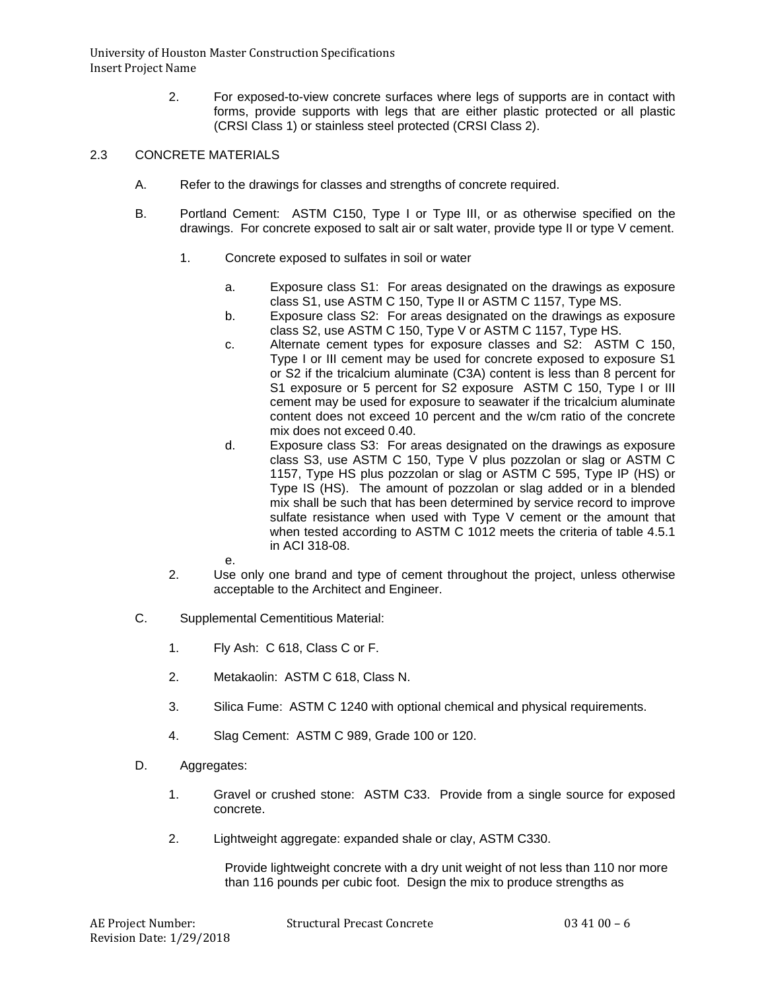> 2. For exposed-to-view concrete surfaces where legs of supports are in contact with forms, provide supports with legs that are either plastic protected or all plastic (CRSI Class 1) or stainless steel protected (CRSI Class 2).

# 2.3 CONCRETE MATERIALS

- A. Refer to the drawings for classes and strengths of concrete required.
- B. Portland Cement: ASTM C150, Type I or Type III, or as otherwise specified on the drawings. For concrete exposed to salt air or salt water, provide type II or type V cement.
	- 1. Concrete exposed to sulfates in soil or water
		- a. Exposure class S1: For areas designated on the drawings as exposure class S1, use ASTM C 150, Type II or ASTM C 1157, Type MS.
		- b. Exposure class S2: For areas designated on the drawings as exposure class S2, use ASTM C 150, Type V or ASTM C 1157, Type HS.
		- c. Alternate cement types for exposure classes and S2: ASTM C 150, Type I or III cement may be used for concrete exposed to exposure S1 or S2 if the tricalcium aluminate (C3A) content is less than 8 percent for S1 exposure or 5 percent for S2 exposure ASTM C 150, Type I or III cement may be used for exposure to seawater if the tricalcium aluminate content does not exceed 10 percent and the w/cm ratio of the concrete mix does not exceed 0.40.
		- d. Exposure class S3: For areas designated on the drawings as exposure class S3, use ASTM C 150, Type V plus pozzolan or slag or ASTM C 1157, Type HS plus pozzolan or slag or ASTM C 595, Type IP (HS) or Type IS (HS). The amount of pozzolan or slag added or in a blended mix shall be such that has been determined by service record to improve sulfate resistance when used with Type V cement or the amount that when tested according to ASTM C 1012 meets the criteria of table 4.5.1 in ACI 318-08.
		- e.
	- 2. Use only one brand and type of cement throughout the project, unless otherwise acceptable to the Architect and Engineer.
- C. Supplemental Cementitious Material:
	- 1. Fly Ash: C 618, Class C or F.
	- 2. Metakaolin: ASTM C 618, Class N.
	- 3. Silica Fume: ASTM C 1240 with optional chemical and physical requirements.
	- 4. Slag Cement: ASTM C 989, Grade 100 or 120.
- D. Aggregates:
	- 1. Gravel or crushed stone: ASTM C33. Provide from a single source for exposed concrete.
	- 2. Lightweight aggregate: expanded shale or clay, ASTM C330.

Provide lightweight concrete with a dry unit weight of not less than 110 nor more than 116 pounds per cubic foot. Design the mix to produce strengths as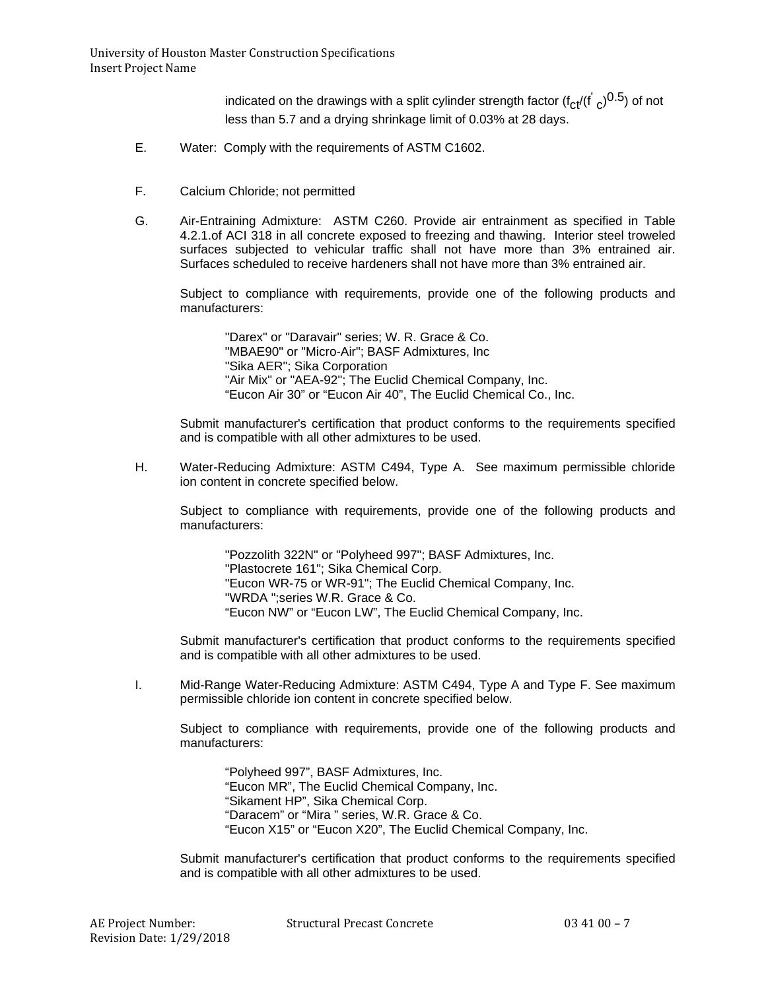indicated on the drawings with a split cylinder strength factor (f<sub>Ct</sub>/(f<sup>'</sup> <sub>C</sub>)<sup>0.5</sup>) of not less than 5.7 and a drying shrinkage limit of 0.03% at 28 days.

- E. Water: Comply with the requirements of ASTM C1602.
- F. Calcium Chloride; not permitted
- G. Air-Entraining Admixture: ASTM C260. Provide air entrainment as specified in Table 4.2.1.of ACI 318 in all concrete exposed to freezing and thawing. Interior steel troweled surfaces subjected to vehicular traffic shall not have more than 3% entrained air. Surfaces scheduled to receive hardeners shall not have more than 3% entrained air.

Subject to compliance with requirements, provide one of the following products and manufacturers:

"Darex" or "Daravair" series; W. R. Grace & Co. "MBAE90" or "Micro-Air"; BASF Admixtures, Inc "Sika AER"; Sika Corporation "Air Mix" or "AEA-92"; The Euclid Chemical Company, Inc. "Eucon Air 30" or "Eucon Air 40", The Euclid Chemical Co., Inc.

Submit manufacturer's certification that product conforms to the requirements specified and is compatible with all other admixtures to be used.

H. Water-Reducing Admixture: ASTM C494, Type A. See maximum permissible chloride ion content in concrete specified below.

Subject to compliance with requirements, provide one of the following products and manufacturers:

"Pozzolith 322N" or "Polyheed 997"; BASF Admixtures, Inc. "Plastocrete 161"; Sika Chemical Corp. "Eucon WR-75 or WR-91"; The Euclid Chemical Company, Inc. "WRDA ";series W.R. Grace & Co. "Eucon NW" or "Eucon LW", The Euclid Chemical Company, Inc.

Submit manufacturer's certification that product conforms to the requirements specified and is compatible with all other admixtures to be used.

I. Mid-Range Water-Reducing Admixture: ASTM C494, Type A and Type F. See maximum permissible chloride ion content in concrete specified below.

Subject to compliance with requirements, provide one of the following products and manufacturers:

"Polyheed 997", BASF Admixtures, Inc. "Eucon MR", The Euclid Chemical Company, Inc. "Sikament HP", Sika Chemical Corp. "Daracem" or "Mira " series, W.R. Grace & Co. "Eucon X15" or "Eucon X20", The Euclid Chemical Company, Inc.

Submit manufacturer's certification that product conforms to the requirements specified and is compatible with all other admixtures to be used.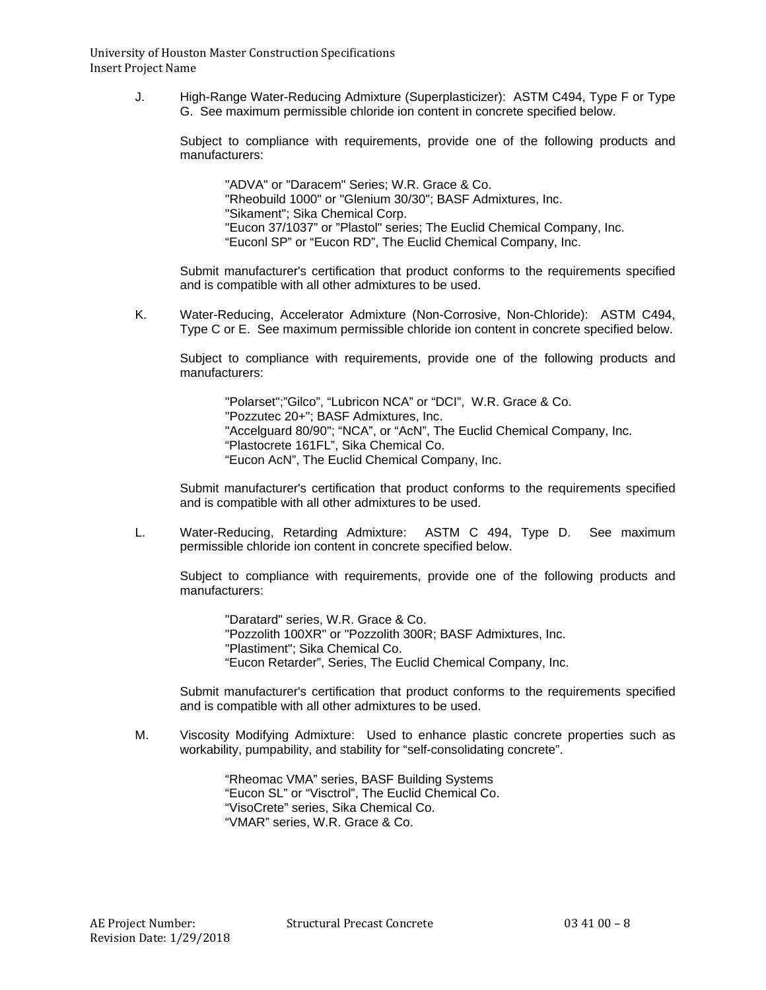> J. High-Range Water-Reducing Admixture (Superplasticizer): ASTM C494, Type F or Type G. See maximum permissible chloride ion content in concrete specified below.

Subject to compliance with requirements, provide one of the following products and manufacturers:

"ADVA" or "Daracem" Series; W.R. Grace & Co. "Rheobuild 1000" or "Glenium 30/30"; BASF Admixtures, Inc. "Sikament"; Sika Chemical Corp. "Eucon 37/1037" or "Plastol" series; The Euclid Chemical Company, Inc. "Euconl SP" or "Eucon RD", The Euclid Chemical Company, Inc.

Submit manufacturer's certification that product conforms to the requirements specified and is compatible with all other admixtures to be used.

K. Water-Reducing, Accelerator Admixture (Non-Corrosive, Non-Chloride): ASTM C494, Type C or E. See maximum permissible chloride ion content in concrete specified below.

Subject to compliance with requirements, provide one of the following products and manufacturers:

"Polarset";"Gilco", "Lubricon NCA" or "DCI", W.R. Grace & Co.

"Pozzutec 20+"; BASF Admixtures, Inc.

"Accelguard 80/90"; "NCA", or "AcN", The Euclid Chemical Company, Inc.

"Plastocrete 161FL", Sika Chemical Co.

"Eucon AcN", The Euclid Chemical Company, Inc.

Submit manufacturer's certification that product conforms to the requirements specified and is compatible with all other admixtures to be used.

L. Water-Reducing, Retarding Admixture: ASTM C 494, Type D. See maximum permissible chloride ion content in concrete specified below.

Subject to compliance with requirements, provide one of the following products and manufacturers:

"Daratard" series, W.R. Grace & Co. "Pozzolith 100XR" or "Pozzolith 300R; BASF Admixtures, Inc. "Plastiment"; Sika Chemical Co. "Eucon Retarder", Series, The Euclid Chemical Company, Inc.

Submit manufacturer's certification that product conforms to the requirements specified and is compatible with all other admixtures to be used.

M. Viscosity Modifying Admixture: Used to enhance plastic concrete properties such as workability, pumpability, and stability for "self-consolidating concrete".

> "Rheomac VMA" series, BASF Building Systems "Eucon SL" or "Visctrol", The Euclid Chemical Co. "VisoCrete" series, Sika Chemical Co. "VMAR" series, W.R. Grace & Co.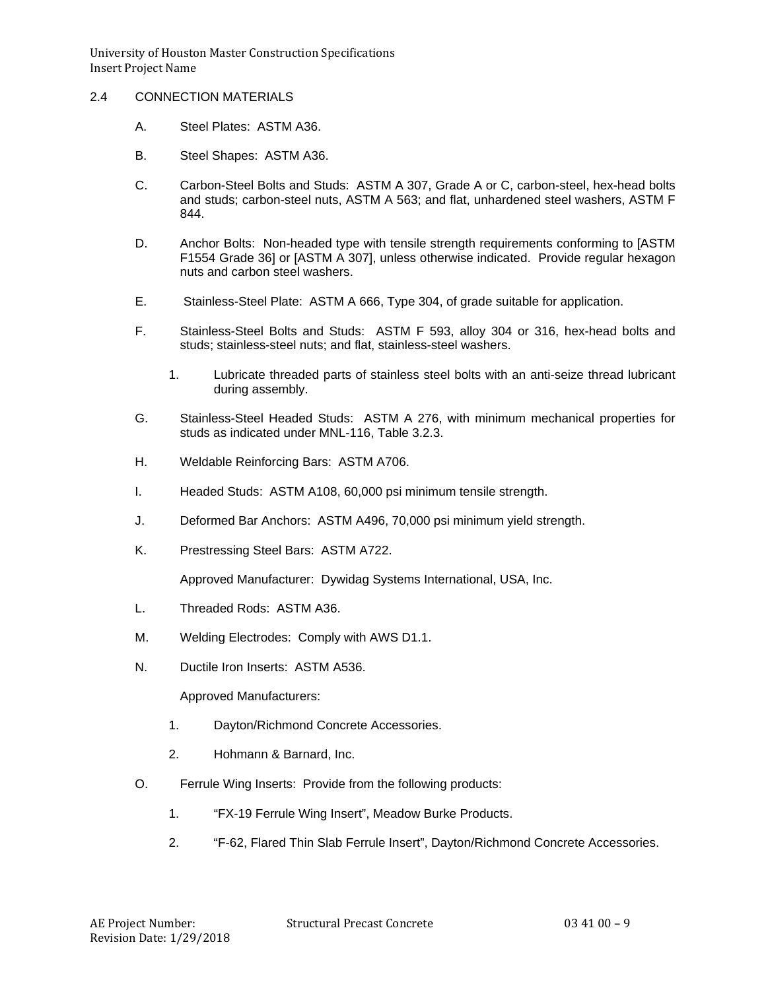# 2.4 CONNECTION MATERIALS

- A. Steel Plates: ASTM A36.
- B. Steel Shapes: ASTM A36.
- C. Carbon-Steel Bolts and Studs: ASTM A 307, Grade A or C, carbon-steel, hex-head bolts and studs; carbon-steel nuts, ASTM A 563; and flat, unhardened steel washers, ASTM F 844.
- D. Anchor Bolts: Non-headed type with tensile strength requirements conforming to [ASTM F1554 Grade 36] or [ASTM A 307], unless otherwise indicated. Provide regular hexagon nuts and carbon steel washers.
- E. Stainless-Steel Plate: ASTM A 666, Type 304, of grade suitable for application.
- F. Stainless-Steel Bolts and Studs: ASTM F 593, alloy 304 or 316, hex-head bolts and studs; stainless-steel nuts; and flat, stainless-steel washers.
	- 1. Lubricate threaded parts of stainless steel bolts with an anti-seize thread lubricant during assembly.
- G. Stainless-Steel Headed Studs: ASTM A 276, with minimum mechanical properties for studs as indicated under MNL-116, Table 3.2.3.
- H. Weldable Reinforcing Bars: ASTM A706.
- I. Headed Studs: ASTM A108, 60,000 psi minimum tensile strength.
- J. Deformed Bar Anchors: ASTM A496, 70,000 psi minimum yield strength.
- K. Prestressing Steel Bars: ASTM A722.

Approved Manufacturer: Dywidag Systems International, USA, Inc.

- L. Threaded Rods: ASTM A36.
- M. Welding Electrodes: Comply with AWS D1.1.
- N. Ductile Iron Inserts: ASTM A536.

Approved Manufacturers:

- 1. Dayton/Richmond Concrete Accessories.
- 2. Hohmann & Barnard, Inc.
- O. Ferrule Wing Inserts: Provide from the following products:
	- 1. "FX-19 Ferrule Wing Insert", Meadow Burke Products.
	- 2. "F-62, Flared Thin Slab Ferrule Insert", Dayton/Richmond Concrete Accessories.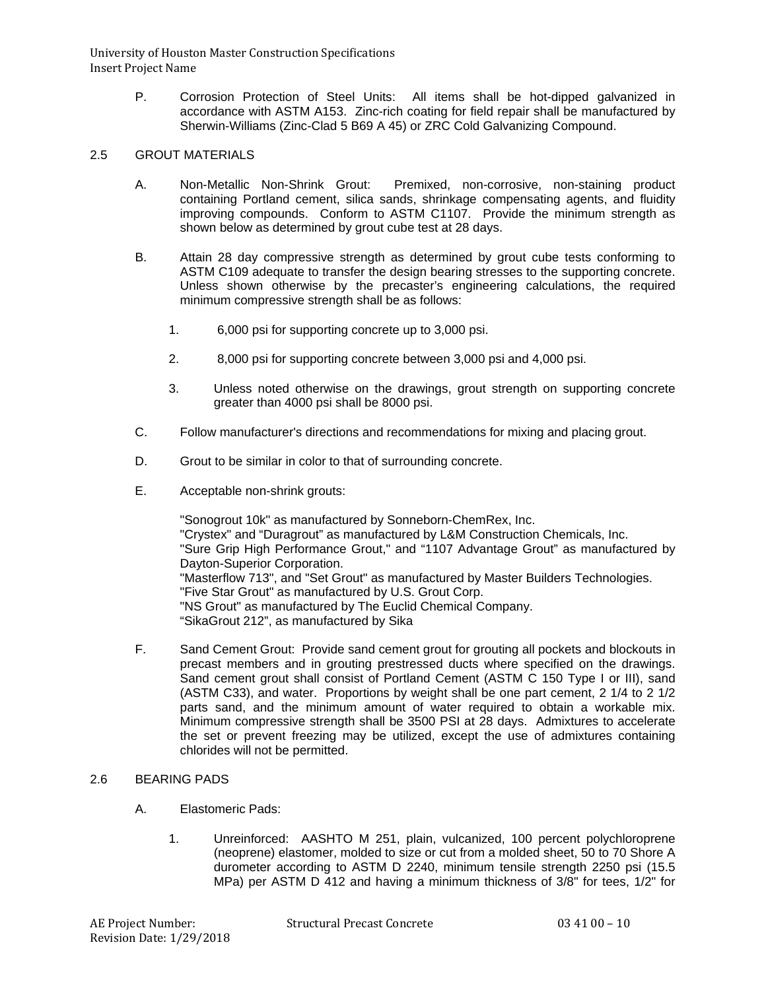> P. Corrosion Protection of Steel Units: All items shall be hot-dipped galvanized in accordance with ASTM A153. Zinc-rich coating for field repair shall be manufactured by Sherwin-Williams (Zinc-Clad 5 B69 A 45) or ZRC Cold Galvanizing Compound.

## 2.5 GROUT MATERIALS

- A. Non-Metallic Non-Shrink Grout: Premixed, non-corrosive, non-staining product containing Portland cement, silica sands, shrinkage compensating agents, and fluidity improving compounds. Conform to ASTM C1107. Provide the minimum strength as shown below as determined by grout cube test at 28 days.
- B. Attain 28 day compressive strength as determined by grout cube tests conforming to ASTM C109 adequate to transfer the design bearing stresses to the supporting concrete. Unless shown otherwise by the precaster's engineering calculations, the required minimum compressive strength shall be as follows:
	- 1. 6,000 psi for supporting concrete up to 3,000 psi.
	- 2. 8,000 psi for supporting concrete between 3,000 psi and 4,000 psi.
	- 3. Unless noted otherwise on the drawings, grout strength on supporting concrete greater than 4000 psi shall be 8000 psi.
- C. Follow manufacturer's directions and recommendations for mixing and placing grout.
- D. Grout to be similar in color to that of surrounding concrete.
- E. Acceptable non-shrink grouts:

"Sonogrout 10k" as manufactured by Sonneborn-ChemRex, Inc. "Crystex" and "Duragrout" as manufactured by L&M Construction Chemicals, Inc. "Sure Grip High Performance Grout," and "1107 Advantage Grout" as manufactured by Dayton-Superior Corporation. "Masterflow 713", and "Set Grout" as manufactured by Master Builders Technologies. "Five Star Grout" as manufactured by U.S. Grout Corp. "NS Grout" as manufactured by The Euclid Chemical Company. "SikaGrout 212", as manufactured by Sika

F. Sand Cement Grout: Provide sand cement grout for grouting all pockets and blockouts in precast members and in grouting prestressed ducts where specified on the drawings. Sand cement grout shall consist of Portland Cement (ASTM C 150 Type I or III), sand (ASTM C33), and water. Proportions by weight shall be one part cement, 2 1/4 to 2 1/2 parts sand, and the minimum amount of water required to obtain a workable mix. Minimum compressive strength shall be 3500 PSI at 28 days. Admixtures to accelerate the set or prevent freezing may be utilized, except the use of admixtures containing chlorides will not be permitted.

### 2.6 BEARING PADS

- A. Elastomeric Pads:
	- 1. Unreinforced: AASHTO M 251, plain, vulcanized, 100 percent polychloroprene (neoprene) elastomer, molded to size or cut from a molded sheet, 50 to 70 Shore A durometer according to ASTM D 2240, minimum tensile strength 2250 psi (15.5 MPa) per ASTM D 412 and having a minimum thickness of 3/8" for tees, 1/2" for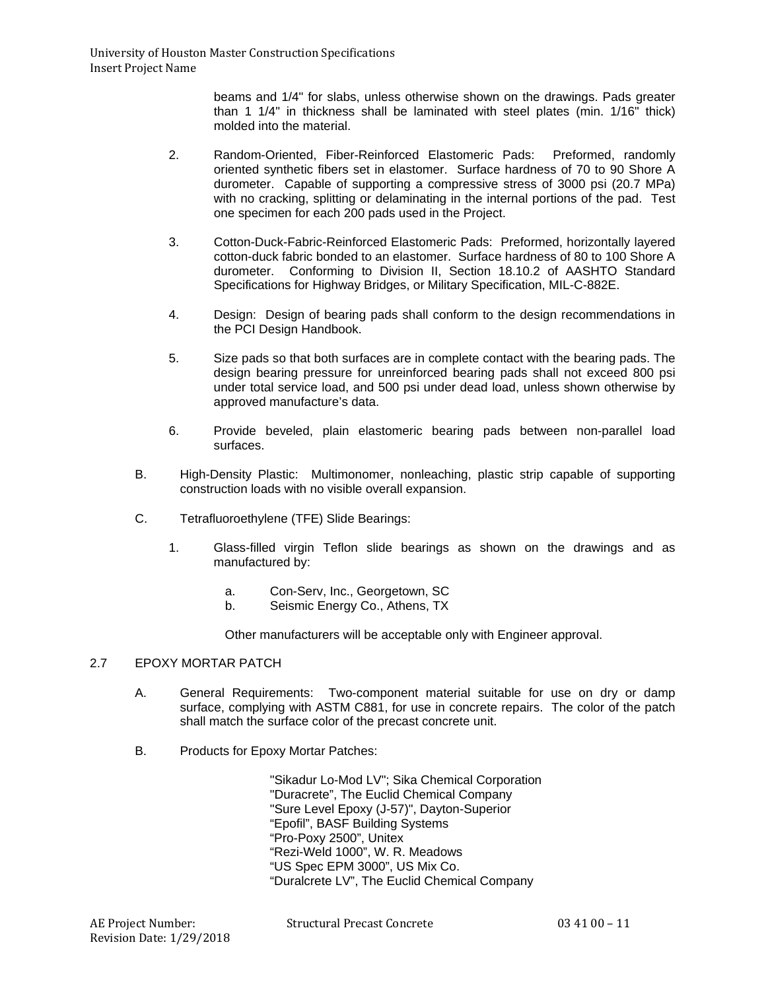beams and 1/4" for slabs, unless otherwise shown on the drawings. Pads greater than 1 1/4" in thickness shall be laminated with steel plates (min. 1/16" thick) molded into the material.

- 2. Random-Oriented, Fiber-Reinforced Elastomeric Pads: Preformed, randomly oriented synthetic fibers set in elastomer. Surface hardness of 70 to 90 Shore A durometer. Capable of supporting a compressive stress of 3000 psi (20.7 MPa) with no cracking, splitting or delaminating in the internal portions of the pad. Test one specimen for each 200 pads used in the Project.
- 3. Cotton-Duck-Fabric-Reinforced Elastomeric Pads: Preformed, horizontally layered cotton-duck fabric bonded to an elastomer. Surface hardness of 80 to 100 Shore A durometer. Conforming to Division II, Section 18.10.2 of AASHTO Standard Specifications for Highway Bridges, or Military Specification, MIL-C-882E.
- 4. Design: Design of bearing pads shall conform to the design recommendations in the PCI Design Handbook.
- 5. Size pads so that both surfaces are in complete contact with the bearing pads. The design bearing pressure for unreinforced bearing pads shall not exceed 800 psi under total service load, and 500 psi under dead load, unless shown otherwise by approved manufacture's data.
- 6. Provide beveled, plain elastomeric bearing pads between non-parallel load surfaces.
- B. High-Density Plastic: Multimonomer, nonleaching, plastic strip capable of supporting construction loads with no visible overall expansion.
- C. Tetrafluoroethylene (TFE) Slide Bearings:
	- 1. Glass-filled virgin Teflon slide bearings as shown on the drawings and as manufactured by:
		- a. Con-Serv, Inc., Georgetown, SC
		- b. Seismic Energy Co., Athens, TX

Other manufacturers will be acceptable only with Engineer approval.

# 2.7 EPOXY MORTAR PATCH

- A. General Requirements: Two-component material suitable for use on dry or damp surface, complying with ASTM C881, for use in concrete repairs. The color of the patch shall match the surface color of the precast concrete unit.
- B. Products for Epoxy Mortar Patches:

"Sikadur Lo-Mod LV"; Sika Chemical Corporation "Duracrete", The Euclid Chemical Company "Sure Level Epoxy (J-57)", Dayton-Superior "Epofil", BASF Building Systems "Pro-Poxy 2500", Unitex "Rezi-Weld 1000", W. R. Meadows "US Spec EPM 3000", US Mix Co. "Duralcrete LV", The Euclid Chemical Company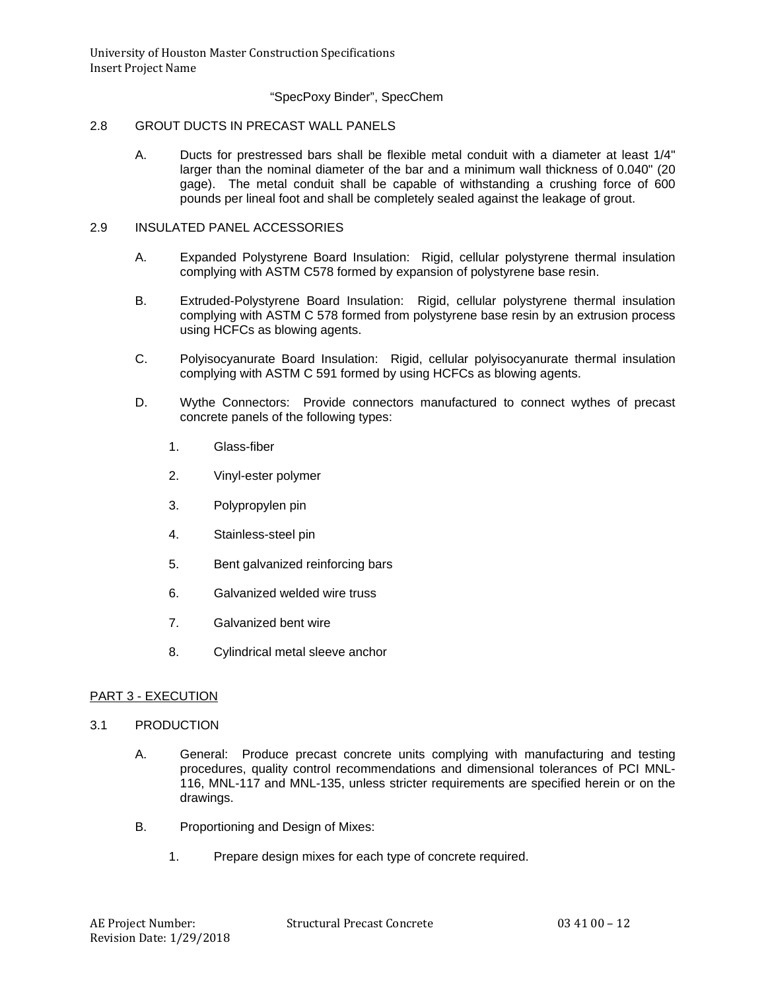# "SpecPoxy Binder", SpecChem

## 2.8 GROUT DUCTS IN PRECAST WALL PANELS

A. Ducts for prestressed bars shall be flexible metal conduit with a diameter at least 1/4" larger than the nominal diameter of the bar and a minimum wall thickness of 0.040" (20 gage). The metal conduit shall be capable of withstanding a crushing force of 600 pounds per lineal foot and shall be completely sealed against the leakage of grout.

#### 2.9 INSULATED PANEL ACCESSORIES

- A. Expanded Polystyrene Board Insulation: Rigid, cellular polystyrene thermal insulation complying with ASTM C578 formed by expansion of polystyrene base resin.
- B. Extruded-Polystyrene Board Insulation: Rigid, cellular polystyrene thermal insulation complying with ASTM C 578 formed from polystyrene base resin by an extrusion process using HCFCs as blowing agents.
- C. Polyisocyanurate Board Insulation: Rigid, cellular polyisocyanurate thermal insulation complying with ASTM C 591 formed by using HCFCs as blowing agents.
- D. Wythe Connectors: Provide connectors manufactured to connect wythes of precast concrete panels of the following types:
	- 1. Glass-fiber
	- 2. Vinyl-ester polymer
	- 3. Polypropylen pin
	- 4. Stainless-steel pin
	- 5. Bent galvanized reinforcing bars
	- 6. Galvanized welded wire truss
	- 7. Galvanized bent wire
	- 8. Cylindrical metal sleeve anchor

### PART 3 - EXECUTION

- 3.1 PRODUCTION
	- A. General: Produce precast concrete units complying with manufacturing and testing procedures, quality control recommendations and dimensional tolerances of PCI MNL-116, MNL-117 and MNL-135, unless stricter requirements are specified herein or on the drawings.
	- B. Proportioning and Design of Mixes:
		- 1. Prepare design mixes for each type of concrete required.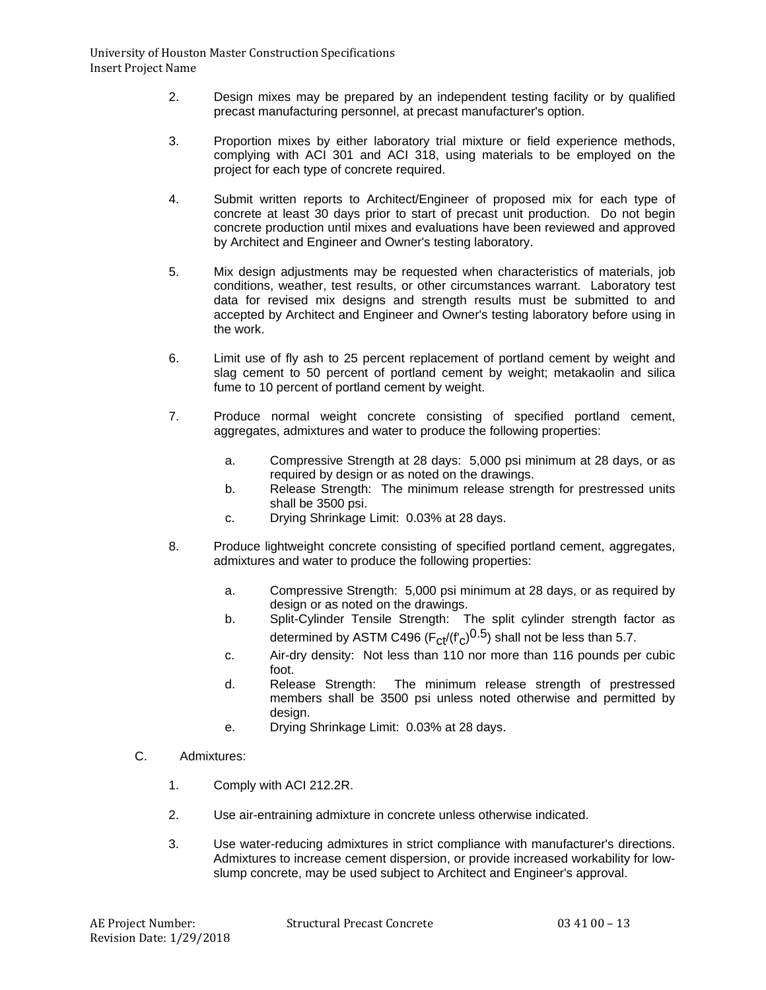- 2. Design mixes may be prepared by an independent testing facility or by qualified precast manufacturing personnel, at precast manufacturer's option.
- 3. Proportion mixes by either laboratory trial mixture or field experience methods, complying with ACI 301 and ACI 318, using materials to be employed on the project for each type of concrete required.
- 4. Submit written reports to Architect/Engineer of proposed mix for each type of concrete at least 30 days prior to start of precast unit production. Do not begin concrete production until mixes and evaluations have been reviewed and approved by Architect and Engineer and Owner's testing laboratory.
- 5. Mix design adjustments may be requested when characteristics of materials, job conditions, weather, test results, or other circumstances warrant. Laboratory test data for revised mix designs and strength results must be submitted to and accepted by Architect and Engineer and Owner's testing laboratory before using in the work.
- 6. Limit use of fly ash to 25 percent replacement of portland cement by weight and slag cement to 50 percent of portland cement by weight; metakaolin and silica fume to 10 percent of portland cement by weight.
- 7. Produce normal weight concrete consisting of specified portland cement, aggregates, admixtures and water to produce the following properties:
	- a. Compressive Strength at 28 days: 5,000 psi minimum at 28 days, or as required by design or as noted on the drawings.
	- b. Release Strength: The minimum release strength for prestressed units shall be 3500 psi.
	- c. Drying Shrinkage Limit: 0.03% at 28 days.
- 8. Produce lightweight concrete consisting of specified portland cement, aggregates, admixtures and water to produce the following properties:
	- a. Compressive Strength: 5,000 psi minimum at 28 days, or as required by design or as noted on the drawings.
	- b. Split-Cylinder Tensile Strength: The split cylinder strength factor as determined by ASTM C496 ( $F_{ct}/(f'_{c})^{0.5}$ ) shall not be less than 5.7.
	- c. Air-dry density: Not less than 110 nor more than 116 pounds per cubic foot.<br>Release Strength:
	- d. Release Strength: The minimum release strength of prestressed members shall be 3500 psi unless noted otherwise and permitted by design.
	- e. Drying Shrinkage Limit: 0.03% at 28 days.
- C. Admixtures:
	- 1. Comply with ACI 212.2R.
	- 2. Use air-entraining admixture in concrete unless otherwise indicated.
	- 3. Use water-reducing admixtures in strict compliance with manufacturer's directions. Admixtures to increase cement dispersion, or provide increased workability for lowslump concrete, may be used subject to Architect and Engineer's approval.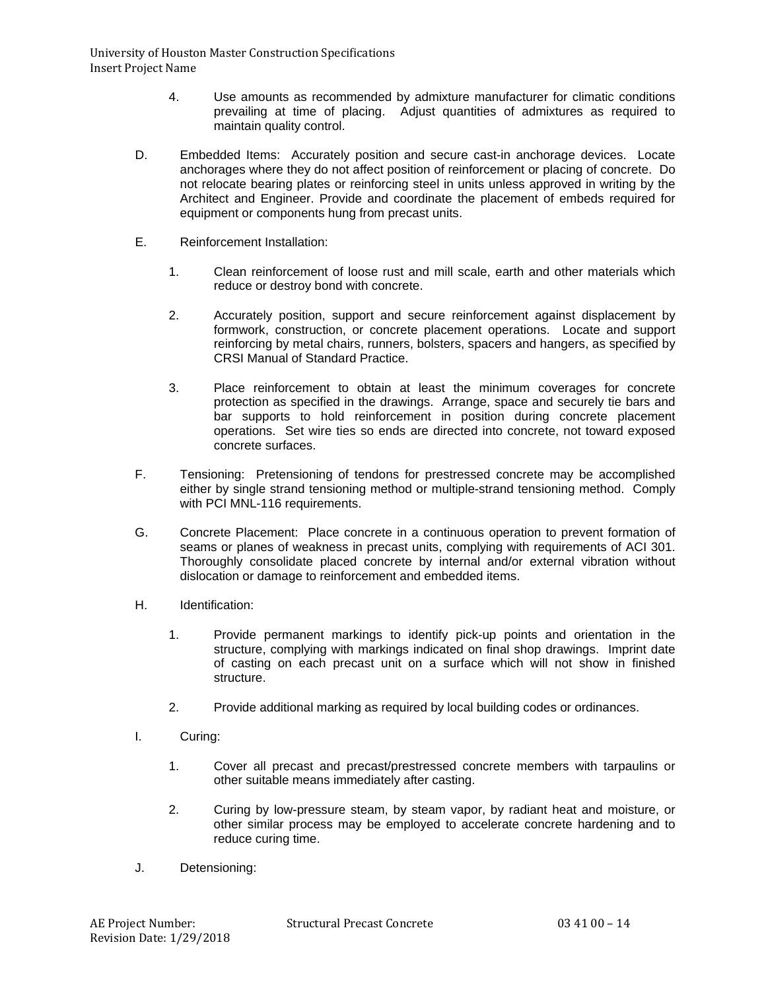- 4. Use amounts as recommended by admixture manufacturer for climatic conditions prevailing at time of placing. Adjust quantities of admixtures as required to maintain quality control.
- D. Embedded Items: Accurately position and secure cast-in anchorage devices. Locate anchorages where they do not affect position of reinforcement or placing of concrete. Do not relocate bearing plates or reinforcing steel in units unless approved in writing by the Architect and Engineer. Provide and coordinate the placement of embeds required for equipment or components hung from precast units.
- E. Reinforcement Installation:
	- 1. Clean reinforcement of loose rust and mill scale, earth and other materials which reduce or destroy bond with concrete.
	- 2. Accurately position, support and secure reinforcement against displacement by formwork, construction, or concrete placement operations. Locate and support reinforcing by metal chairs, runners, bolsters, spacers and hangers, as specified by CRSI Manual of Standard Practice.
	- 3. Place reinforcement to obtain at least the minimum coverages for concrete protection as specified in the drawings. Arrange, space and securely tie bars and bar supports to hold reinforcement in position during concrete placement operations. Set wire ties so ends are directed into concrete, not toward exposed concrete surfaces.
- F. Tensioning: Pretensioning of tendons for prestressed concrete may be accomplished either by single strand tensioning method or multiple-strand tensioning method. Comply with PCI MNL-116 requirements.
- G. Concrete Placement: Place concrete in a continuous operation to prevent formation of seams or planes of weakness in precast units, complying with requirements of ACI 301. Thoroughly consolidate placed concrete by internal and/or external vibration without dislocation or damage to reinforcement and embedded items.
- H. Identification:
	- 1. Provide permanent markings to identify pick-up points and orientation in the structure, complying with markings indicated on final shop drawings. Imprint date of casting on each precast unit on a surface which will not show in finished structure.
	- 2. Provide additional marking as required by local building codes or ordinances.
- I. Curing:
	- 1. Cover all precast and precast/prestressed concrete members with tarpaulins or other suitable means immediately after casting.
	- 2. Curing by low-pressure steam, by steam vapor, by radiant heat and moisture, or other similar process may be employed to accelerate concrete hardening and to reduce curing time.
- J. Detensioning: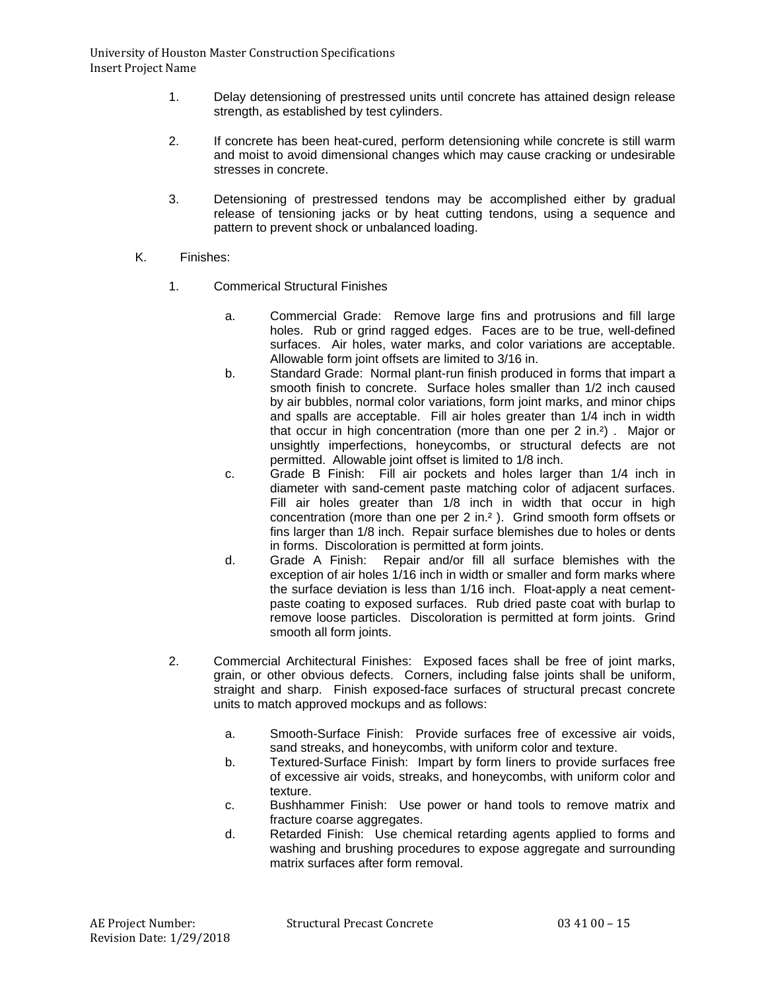- 1. Delay detensioning of prestressed units until concrete has attained design release strength, as established by test cylinders.
- 2. If concrete has been heat-cured, perform detensioning while concrete is still warm and moist to avoid dimensional changes which may cause cracking or undesirable stresses in concrete.
- 3. Detensioning of prestressed tendons may be accomplished either by gradual release of tensioning jacks or by heat cutting tendons, using a sequence and pattern to prevent shock or unbalanced loading.
- K. Finishes:
	- 1. Commerical Structural Finishes
		- a. Commercial Grade: Remove large fins and protrusions and fill large holes. Rub or grind ragged edges. Faces are to be true, well-defined surfaces. Air holes, water marks, and color variations are acceptable. Allowable form joint offsets are limited to 3/16 in.
		- b. Standard Grade: Normal plant-run finish produced in forms that impart a smooth finish to concrete. Surface holes smaller than 1/2 inch caused by air bubbles, normal color variations, form joint marks, and minor chips and spalls are acceptable. Fill air holes greater than 1/4 inch in width that occur in high concentration (more than one per 2 in.²) . Major or unsightly imperfections, honeycombs, or structural defects are not permitted. Allowable joint offset is limited to 1/8 inch.
		- c. Grade B Finish: Fill air pockets and holes larger than 1/4 inch in diameter with sand-cement paste matching color of adjacent surfaces. Fill air holes greater than 1/8 inch in width that occur in high concentration (more than one per 2 in.² ). Grind smooth form offsets or fins larger than 1/8 inch. Repair surface blemishes due to holes or dents in forms. Discoloration is permitted at form joints.
		- d. Grade A Finish: Repair and/or fill all surface blemishes with the exception of air holes 1/16 inch in width or smaller and form marks where the surface deviation is less than 1/16 inch. Float-apply a neat cementpaste coating to exposed surfaces. Rub dried paste coat with burlap to remove loose particles. Discoloration is permitted at form joints. Grind smooth all form joints.
	- 2. Commercial Architectural Finishes: Exposed faces shall be free of joint marks, grain, or other obvious defects. Corners, including false joints shall be uniform, straight and sharp. Finish exposed-face surfaces of structural precast concrete units to match approved mockups and as follows:
		- a. Smooth-Surface Finish: Provide surfaces free of excessive air voids, sand streaks, and honeycombs, with uniform color and texture.
		- b. Textured-Surface Finish: Impart by form liners to provide surfaces free of excessive air voids, streaks, and honeycombs, with uniform color and texture.
		- c. Bushhammer Finish: Use power or hand tools to remove matrix and fracture coarse aggregates.
		- d. Retarded Finish: Use chemical retarding agents applied to forms and washing and brushing procedures to expose aggregate and surrounding matrix surfaces after form removal.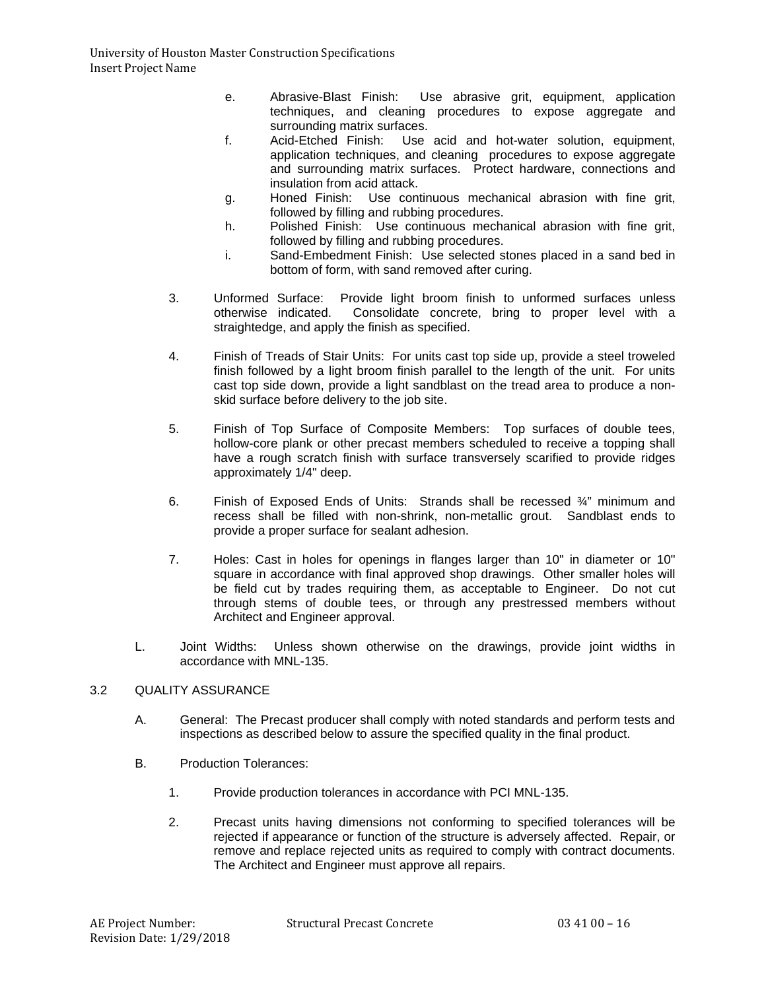- e. Abrasive-Blast Finish: Use abrasive grit, equipment, application techniques, and cleaning procedures to expose aggregate and surrounding matrix surfaces.<br>Acid-Etched Finish: Use
- f. Acid-Etched Finish: Use acid and hot-water solution, equipment, application techniques, and cleaning procedures to expose aggregate and surrounding matrix surfaces. Protect hardware, connections and insulation from acid attack.
- g. Honed Finish: Use continuous mechanical abrasion with fine grit, followed by filling and rubbing procedures.
- h. Polished Finish: Use continuous mechanical abrasion with fine grit, followed by filling and rubbing procedures.
- i. Sand-Embedment Finish: Use selected stones placed in a sand bed in bottom of form, with sand removed after curing.
- 3. Unformed Surface: Provide light broom finish to unformed surfaces unless Consolidate concrete, bring to proper level with a straightedge, and apply the finish as specified.
- 4. Finish of Treads of Stair Units: For units cast top side up, provide a steel troweled finish followed by a light broom finish parallel to the length of the unit. For units cast top side down, provide a light sandblast on the tread area to produce a nonskid surface before delivery to the job site.
- 5. Finish of Top Surface of Composite Members: Top surfaces of double tees, hollow-core plank or other precast members scheduled to receive a topping shall have a rough scratch finish with surface transversely scarified to provide ridges approximately 1/4" deep.
- 6. Finish of Exposed Ends of Units: Strands shall be recessed  $\frac{3}{4}$ " minimum and recess shall be filled with non-shrink, non-metallic grout. Sandblast ends to provide a proper surface for sealant adhesion.
- 7. Holes: Cast in holes for openings in flanges larger than 10" in diameter or 10" square in accordance with final approved shop drawings. Other smaller holes will be field cut by trades requiring them, as acceptable to Engineer. Do not cut through stems of double tees, or through any prestressed members without Architect and Engineer approval.
- L. Joint Widths: Unless shown otherwise on the drawings, provide joint widths in accordance with MNL-135.

# 3.2 QUALITY ASSURANCE

- A. General: The Precast producer shall comply with noted standards and perform tests and inspections as described below to assure the specified quality in the final product.
- B. Production Tolerances:
	- 1. Provide production tolerances in accordance with PCI MNL-135.
	- 2. Precast units having dimensions not conforming to specified tolerances will be rejected if appearance or function of the structure is adversely affected. Repair, or remove and replace rejected units as required to comply with contract documents. The Architect and Engineer must approve all repairs.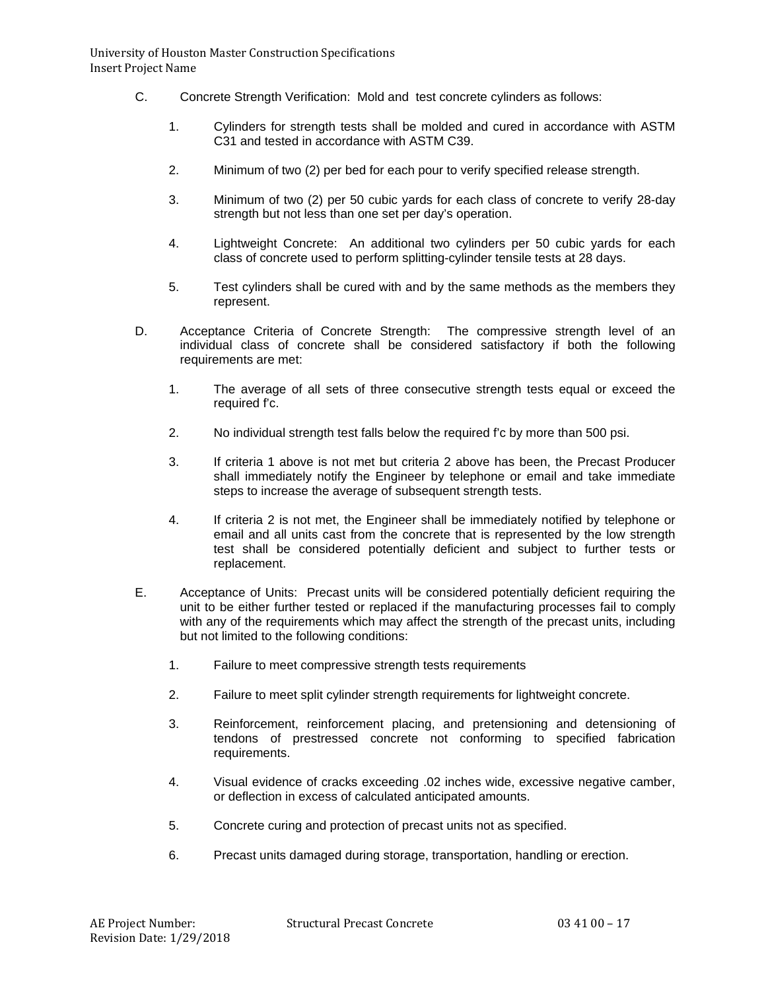- C. Concrete Strength Verification: Mold and test concrete cylinders as follows:
	- 1. Cylinders for strength tests shall be molded and cured in accordance with ASTM C31 and tested in accordance with ASTM C39.
	- 2. Minimum of two (2) per bed for each pour to verify specified release strength.
	- 3. Minimum of two (2) per 50 cubic yards for each class of concrete to verify 28-day strength but not less than one set per day's operation.
	- 4. Lightweight Concrete: An additional two cylinders per 50 cubic yards for each class of concrete used to perform splitting-cylinder tensile tests at 28 days.
	- 5. Test cylinders shall be cured with and by the same methods as the members they represent.
- D. Acceptance Criteria of Concrete Strength: The compressive strength level of an individual class of concrete shall be considered satisfactory if both the following requirements are met:
	- 1. The average of all sets of three consecutive strength tests equal or exceed the required f'c.
	- 2. No individual strength test falls below the required f'c by more than 500 psi.
	- 3. If criteria 1 above is not met but criteria 2 above has been, the Precast Producer shall immediately notify the Engineer by telephone or email and take immediate steps to increase the average of subsequent strength tests.
	- 4. If criteria 2 is not met, the Engineer shall be immediately notified by telephone or email and all units cast from the concrete that is represented by the low strength test shall be considered potentially deficient and subject to further tests or replacement.
- E. Acceptance of Units: Precast units will be considered potentially deficient requiring the unit to be either further tested or replaced if the manufacturing processes fail to comply with any of the requirements which may affect the strength of the precast units, including but not limited to the following conditions:
	- 1. Failure to meet compressive strength tests requirements
	- 2. Failure to meet split cylinder strength requirements for lightweight concrete.
	- 3. Reinforcement, reinforcement placing, and pretensioning and detensioning of tendons of prestressed concrete not conforming to specified fabrication requirements.
	- 4. Visual evidence of cracks exceeding .02 inches wide, excessive negative camber, or deflection in excess of calculated anticipated amounts.
	- 5. Concrete curing and protection of precast units not as specified.
	- 6. Precast units damaged during storage, transportation, handling or erection.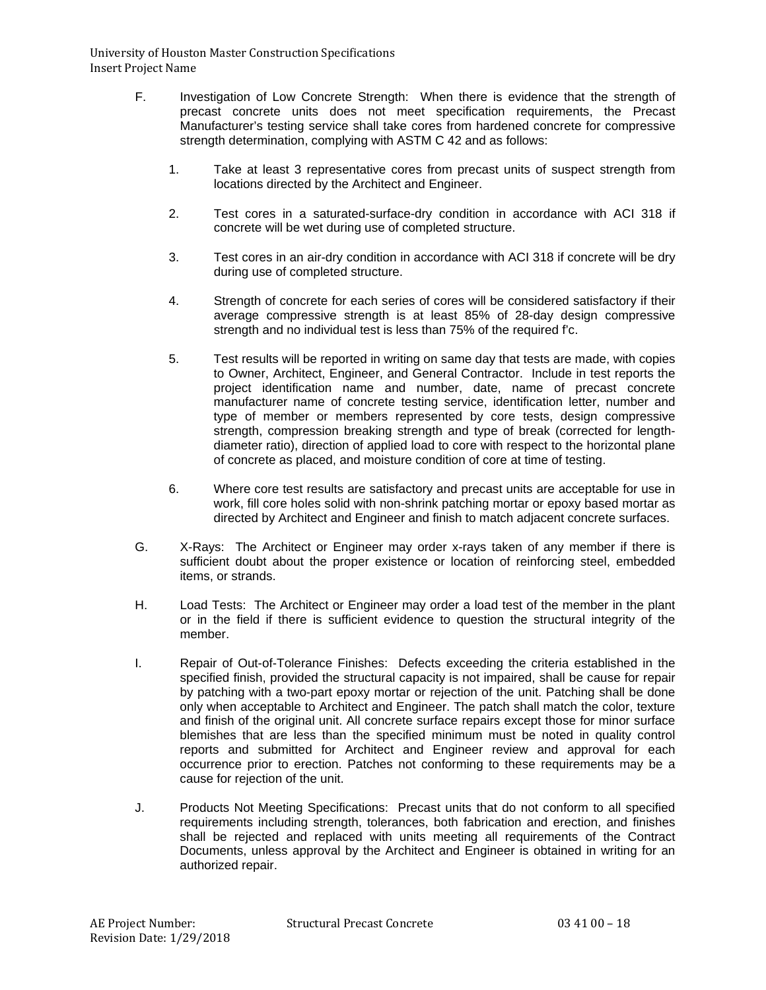- F. Investigation of Low Concrete Strength: When there is evidence that the strength of precast concrete units does not meet specification requirements, the Precast Manufacturer's testing service shall take cores from hardened concrete for compressive strength determination, complying with ASTM C 42 and as follows:
	- 1. Take at least 3 representative cores from precast units of suspect strength from locations directed by the Architect and Engineer.
	- 2. Test cores in a saturated-surface-dry condition in accordance with ACI 318 if concrete will be wet during use of completed structure.
	- 3. Test cores in an air-dry condition in accordance with ACI 318 if concrete will be dry during use of completed structure.
	- 4. Strength of concrete for each series of cores will be considered satisfactory if their average compressive strength is at least 85% of 28-day design compressive strength and no individual test is less than 75% of the required f'c.
	- 5. Test results will be reported in writing on same day that tests are made, with copies to Owner, Architect, Engineer, and General Contractor. Include in test reports the project identification name and number, date, name of precast concrete manufacturer name of concrete testing service, identification letter, number and type of member or members represented by core tests, design compressive strength, compression breaking strength and type of break (corrected for lengthdiameter ratio), direction of applied load to core with respect to the horizontal plane of concrete as placed, and moisture condition of core at time of testing.
	- 6. Where core test results are satisfactory and precast units are acceptable for use in work, fill core holes solid with non-shrink patching mortar or epoxy based mortar as directed by Architect and Engineer and finish to match adjacent concrete surfaces.
- G. X-Rays: The Architect or Engineer may order x-rays taken of any member if there is sufficient doubt about the proper existence or location of reinforcing steel, embedded items, or strands.
- H. Load Tests: The Architect or Engineer may order a load test of the member in the plant or in the field if there is sufficient evidence to question the structural integrity of the member.
- I. Repair of Out-of-Tolerance Finishes: Defects exceeding the criteria established in the specified finish, provided the structural capacity is not impaired, shall be cause for repair by patching with a two-part epoxy mortar or rejection of the unit. Patching shall be done only when acceptable to Architect and Engineer. The patch shall match the color, texture and finish of the original unit. All concrete surface repairs except those for minor surface blemishes that are less than the specified minimum must be noted in quality control reports and submitted for Architect and Engineer review and approval for each occurrence prior to erection. Patches not conforming to these requirements may be a cause for rejection of the unit.
- J. Products Not Meeting Specifications: Precast units that do not conform to all specified requirements including strength, tolerances, both fabrication and erection, and finishes shall be rejected and replaced with units meeting all requirements of the Contract Documents, unless approval by the Architect and Engineer is obtained in writing for an authorized repair.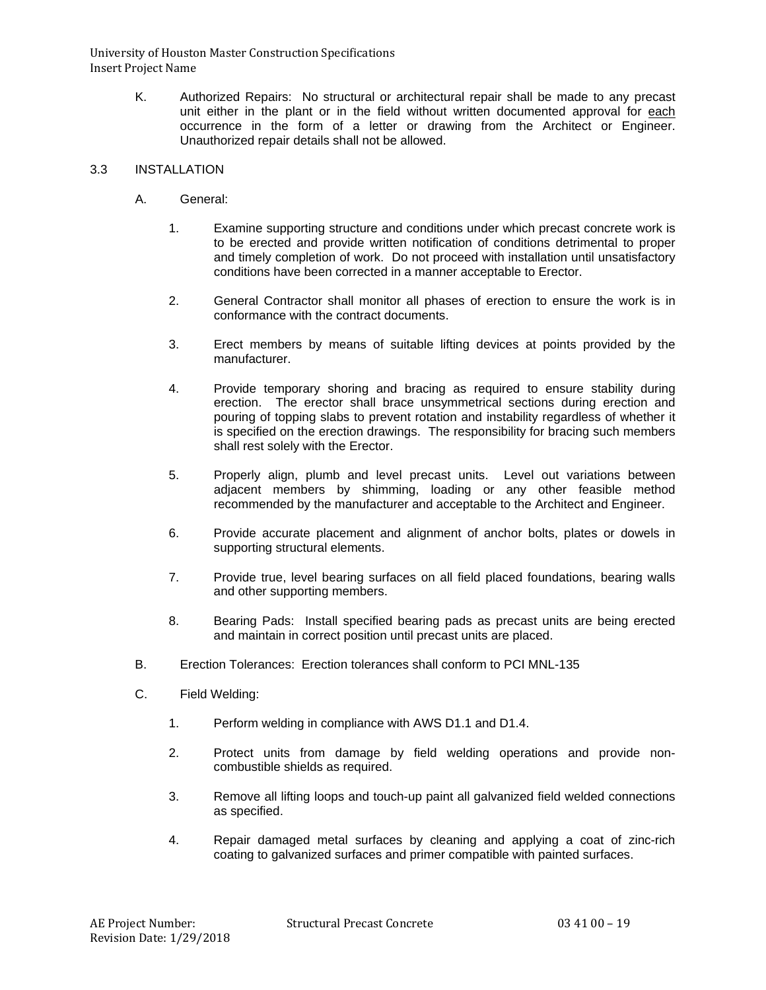> K. Authorized Repairs: No structural or architectural repair shall be made to any precast unit either in the plant or in the field without written documented approval for each occurrence in the form of a letter or drawing from the Architect or Engineer. Unauthorized repair details shall not be allowed.

## 3.3 INSTALLATION

- A. General:
	- 1. Examine supporting structure and conditions under which precast concrete work is to be erected and provide written notification of conditions detrimental to proper and timely completion of work. Do not proceed with installation until unsatisfactory conditions have been corrected in a manner acceptable to Erector.
	- 2. General Contractor shall monitor all phases of erection to ensure the work is in conformance with the contract documents.
	- 3. Erect members by means of suitable lifting devices at points provided by the manufacturer.
	- 4. Provide temporary shoring and bracing as required to ensure stability during erection. The erector shall brace unsymmetrical sections during erection and pouring of topping slabs to prevent rotation and instability regardless of whether it is specified on the erection drawings. The responsibility for bracing such members shall rest solely with the Erector.
	- 5. Properly align, plumb and level precast units. Level out variations between adjacent members by shimming, loading or any other feasible method recommended by the manufacturer and acceptable to the Architect and Engineer.
	- 6. Provide accurate placement and alignment of anchor bolts, plates or dowels in supporting structural elements.
	- 7. Provide true, level bearing surfaces on all field placed foundations, bearing walls and other supporting members.
	- 8. Bearing Pads: Install specified bearing pads as precast units are being erected and maintain in correct position until precast units are placed.
- B. Erection Tolerances: Erection tolerances shall conform to PCI MNL-135
- C. Field Welding:
	- 1. Perform welding in compliance with AWS D1.1 and D1.4.
	- 2. Protect units from damage by field welding operations and provide noncombustible shields as required.
	- 3. Remove all lifting loops and touch-up paint all galvanized field welded connections as specified.
	- 4. Repair damaged metal surfaces by cleaning and applying a coat of zinc-rich coating to galvanized surfaces and primer compatible with painted surfaces.